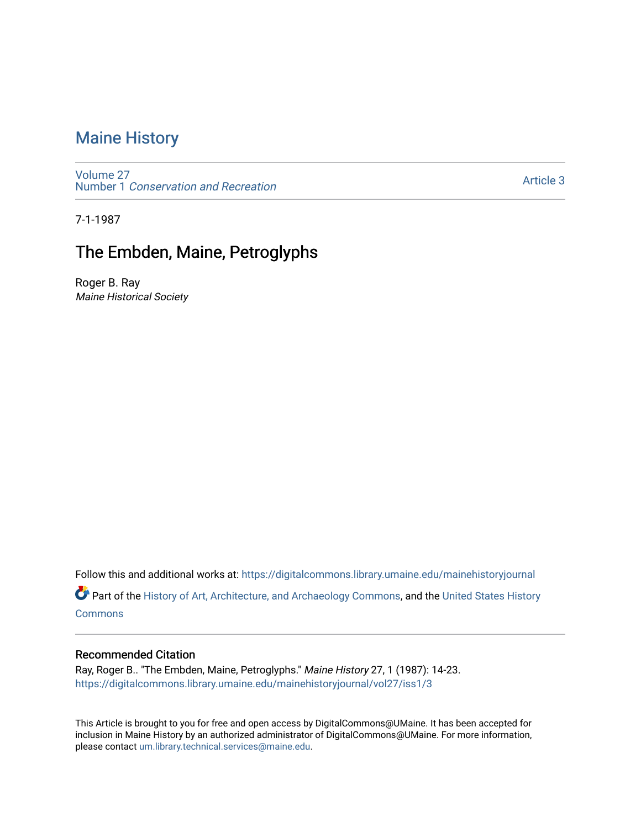# [Maine History](https://digitalcommons.library.umaine.edu/mainehistoryjournal)

[Volume 27](https://digitalcommons.library.umaine.edu/mainehistoryjournal/vol27) Number 1 [Conservation and Recreation](https://digitalcommons.library.umaine.edu/mainehistoryjournal/vol27/iss1) 

[Article 3](https://digitalcommons.library.umaine.edu/mainehistoryjournal/vol27/iss1/3) 

7-1-1987

## The Embden, Maine, Petroglyphs

Roger B. Ray Maine Historical Society

Follow this and additional works at: [https://digitalcommons.library.umaine.edu/mainehistoryjournal](https://digitalcommons.library.umaine.edu/mainehistoryjournal?utm_source=digitalcommons.library.umaine.edu%2Fmainehistoryjournal%2Fvol27%2Fiss1%2F3&utm_medium=PDF&utm_campaign=PDFCoverPages) 

Part of the [History of Art, Architecture, and Archaeology Commons,](http://network.bepress.com/hgg/discipline/510?utm_source=digitalcommons.library.umaine.edu%2Fmainehistoryjournal%2Fvol27%2Fiss1%2F3&utm_medium=PDF&utm_campaign=PDFCoverPages) and the [United States History](http://network.bepress.com/hgg/discipline/495?utm_source=digitalcommons.library.umaine.edu%2Fmainehistoryjournal%2Fvol27%2Fiss1%2F3&utm_medium=PDF&utm_campaign=PDFCoverPages)  **[Commons](http://network.bepress.com/hgg/discipline/495?utm_source=digitalcommons.library.umaine.edu%2Fmainehistoryjournal%2Fvol27%2Fiss1%2F3&utm_medium=PDF&utm_campaign=PDFCoverPages)** 

### Recommended Citation

Ray, Roger B.. "The Embden, Maine, Petroglyphs." Maine History 27, 1 (1987): 14-23. [https://digitalcommons.library.umaine.edu/mainehistoryjournal/vol27/iss1/3](https://digitalcommons.library.umaine.edu/mainehistoryjournal/vol27/iss1/3?utm_source=digitalcommons.library.umaine.edu%2Fmainehistoryjournal%2Fvol27%2Fiss1%2F3&utm_medium=PDF&utm_campaign=PDFCoverPages)

This Article is brought to you for free and open access by DigitalCommons@UMaine. It has been accepted for inclusion in Maine History by an authorized administrator of DigitalCommons@UMaine. For more information, please contact [um.library.technical.services@maine.edu.](mailto:um.library.technical.services@maine.edu)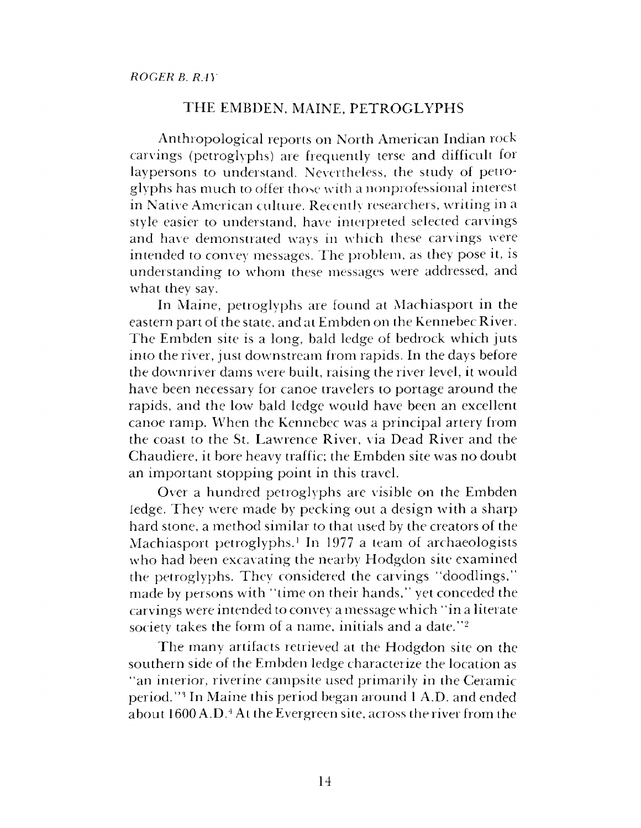## THE EMBDEN, MAINE, PETROGLYPHS

Anthropological reports on North American Indian rock carvings (petroglyphs) are frequently terse and difficult for laypersons to understand. Nevertheless, the study of petroglyphs has much to offer those with a nonprofessional interest in Native American culture. Recently researchers, writing in a style easier to understand, have interpreted selected carvings and have demonstrated ways in which these carvings were intended to convey messages. The problem, as they pose it, is understanding to whom these messages were addressed, and what they say.

In Maine, petroglyphs are found at Machiasport in the eastern part of the state, and at Embden on the Kennebec River. The Embden site is a long, bald ledge of bedrock which juts into the river, just downstream from rapids. In the days before the downriver dams were built, raising the river level, it would have been necessary for canoe travelers to portage around the rapids, and the low bald ledge would have been an excellent canoe ramp. When the Kennebec was a principal artery from the coast to the St. Lawrence River, via Dead River and the Chaudiere, it bore heavy traffic; the Embden site was no doubt an important stopping point in this travel.

Over a hundred petroglyphs are visible on the Embden ledge. They were made by pecking out a design with a sharp hard stone, a method similar to that used by the creators of the Machiasport petroglyphs.<sup>1</sup> In 1977 a team of archaeologists who had been excavating the nearby Hodgdon site examined the petroglyphs. They considered the carvings "doodlings," made by persons with "time on their hands," yet conceded the carvings were intended to convey a message which "in a literate society takes the form of a name, initials and a date."<sup>2</sup>

The many artifacts retrieved at the Hodgdon site on the southern side of the Embden ledge characterize the location as "an interior, riverine campsite used primarily in the Ceramic period."<sup>3</sup> In Maine this period began around <sup>1</sup> A.D. and ended about 1600 A.D.<sup>4</sup> At the Evergreen site, across the river from the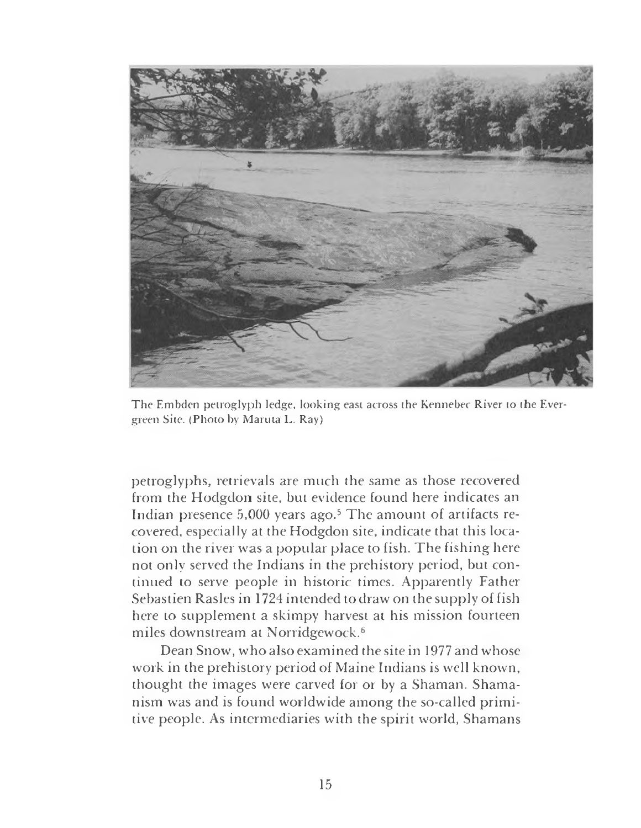

The Embden petroglyph ledge, looking east across the Kennebec River to the Evergreen Site. (Photo by Maruta L. Ray)

petroglyphs, retrievals are much the same as those recovered from the Hodgdon site, but evidence found here indicates an Indian presence 5,000 years ago.<sup>5</sup> The amount of artifacts recovered, especially at the Hodgdon site, indicate that this location on the river was a popular place to fish. The fishing here not only served the Indians in the prehistory period, but continued to serve people in historic times. Apparently Father Sebastien Rasles in 1724 intended to draw on the supply of fish here to supplement a skimpy harvest at his mission fourteen miles downstream at Norridgewock.<sup>6</sup>

Dean Snow, who also examined the site in 1977 and whose work in the prehistory period of Maine Indians is well known, thought the images were carved for or by a Shaman. Shamanism was and is found worldwide among the so-called primitive people. As intermediaries with the spirit world, Shamans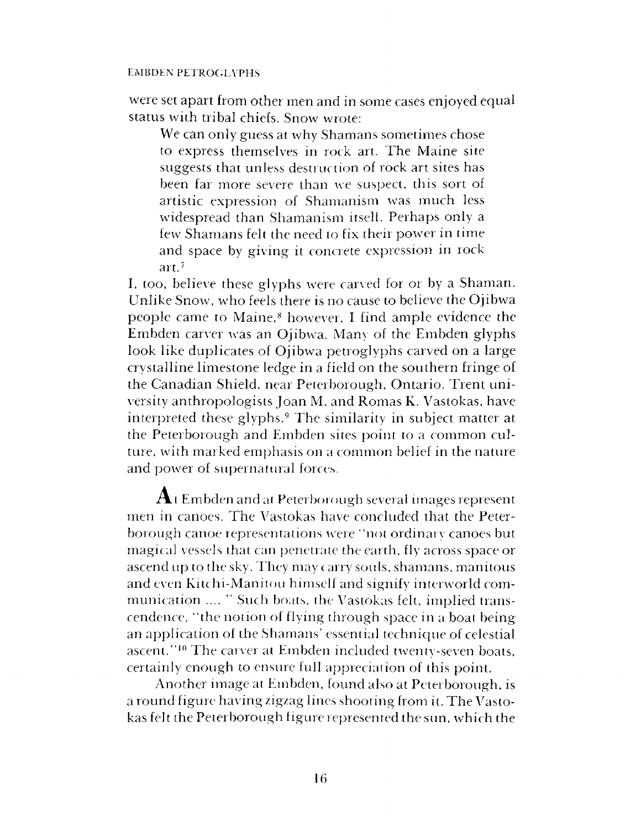## EMBDEN PETROGLYPHS

were set apart from other men and in some cases enjoyed equal status with tribal chiefs. Snow wrote:

We can only guess at why Shamans sometimes chose to express themselves in rock art. The Maine site suggests that unless destruction of rock art sites has been far more severe than we suspect, this sort of artistic expression of Shamanism was much less widespread than Shamanism itself. Perhaps only a few Shamans felt the need to fix their power in time and space by giving it concrete expression in rock art.<sup>7</sup>

I, too, believe these glyphs were carved for or by a Shaman. Unlike Snow, who feels there is no cause to believe the Ojibwa people came to Maine,<sup>8</sup> however, I find ample evidence the Embden carver was an Ojibwa. Many of the Embden glyphs look like duplicates of Ojibwa petroglyphs carved on a large crystalline limestone ledge in a field on the southern fringe of the Canadian Shield, near Peterborough, Ontario. Trent university anthropologists Joan M. and Romas K. Vastokas, have interpreted these glyphs.<sup>9</sup> The similarity in subject matter at the Peterborough and Embden sites point to a common culture, with marked emphasis on a common belief in the nature and power of supernatural forces.

 ${\bf A}$ t Embden and at Peterborough several images represent men in canoes. The Vastokas have concluded that the Peterborough canoe representations were "not ordinary canoes but magical vessels that can penetrate the earth, fly across space or ascend up to the sky. They may carry souls, shamans, manitous and even Kitchi-Manitou himself and signify interworld communication .... '' Such boats, the Vastokas felt, implied transcendence, "the notion of flying through space in a boat being an application of the Shamans' essential technique of celestial ascent."<sup>10</sup> The carver at Embden included twenty-seven boats, certainly enough to ensure full appreciation of this point.

Another image at Embden, found also at Peterborough, is a round figure having zigzag lines shooting from it. The Vastokas felt the Peterborough figure represented the sun, which the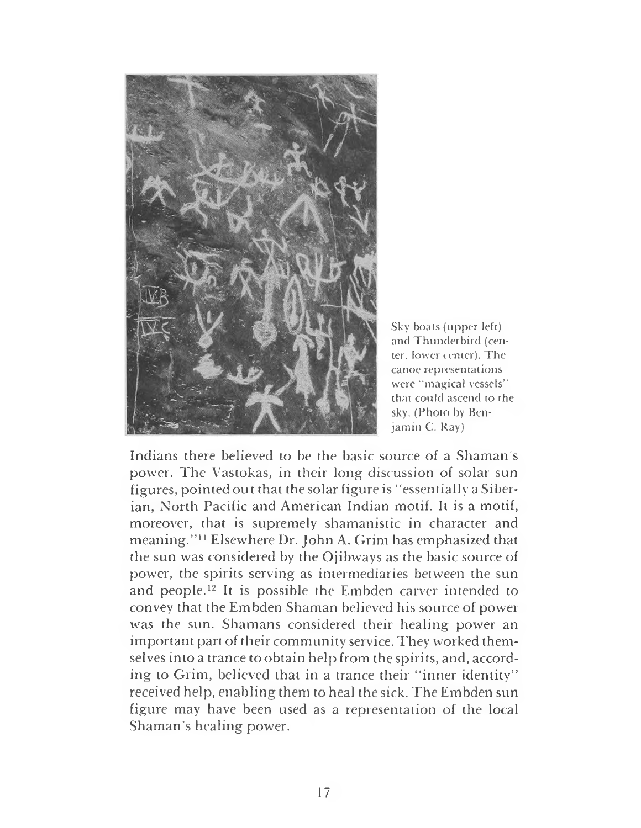

Sky boats (upper left) and Thunderbird (center, lower center). The canoe representations were "magical vessels" that could ascend to the sky. (Photo by Benjamin C. Ray)

Indians there believed to be the basic source of a Shaman's power. The Vastokas, in their long discussion of solar sun figures, pointed out that the solar figure is "essentially a Siberian, North Pacific and American Indian motif. It is a motif, moreover, that is supremely shamanistic in character and meaning."<sup>11</sup> Elsewhere Dr. John A. Grim has emphasized that the sun was considered by the Ojibways as the basic source of power, the spirits serving as intermediaries between the sun and people.<sup>12</sup> It is possible the Embden carver intended to convey that the Embden Shaman believed his source of power was the sun. Shamans considered their healing power an important part of their community service. They worked themselves into a trance to obtain help from the spirits, and, according to Grim, believed that in a trance their "inner identity" received help, enabling them to heal the sick. The Embden sun figure may have been used as a representation of the local Shaman's healing power.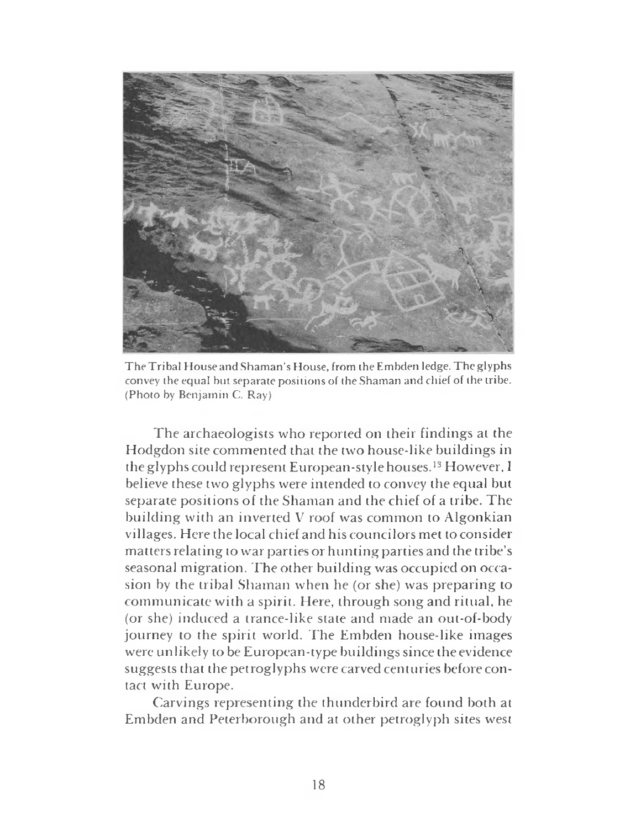

The Tribal House and Shaman's House, from the Embden ledge. The glyphs convey the equal but separate positions of the Shaman and chief of the tribe. (Photo by Benjamin C. Ray)

The archaeologists who reported on their findings at the Hodgdon site commented that the two house-like buildings in the glyphs could represent European-style houses.<sup>13</sup> However, <sup>I</sup> believe these two glyphs were intended to convey the equal but separate positions of the Shaman and the chief of a tribe. The building with an inverted V roof was common to Algonkian villages. Here the local chief and his councilors met to consider matters relating to war parties or hunting partiesand the tribe's seasonal migration. The other building was occupied on occasion by the tribal Shaman when he (or she) was preparing to communicate with a spirit. Here, through song and ritual, he (or she) induced a trance-like state and made an out-of-body journey to the spirit world. The Embden house-like images were unlikely to be European-type buildings since the evidence suggests that the petroglyphs were carved centuries before contact with Europe.

Carvings representing the thunderbird are found both at Embden and Peterborough and at other petroglyph sites west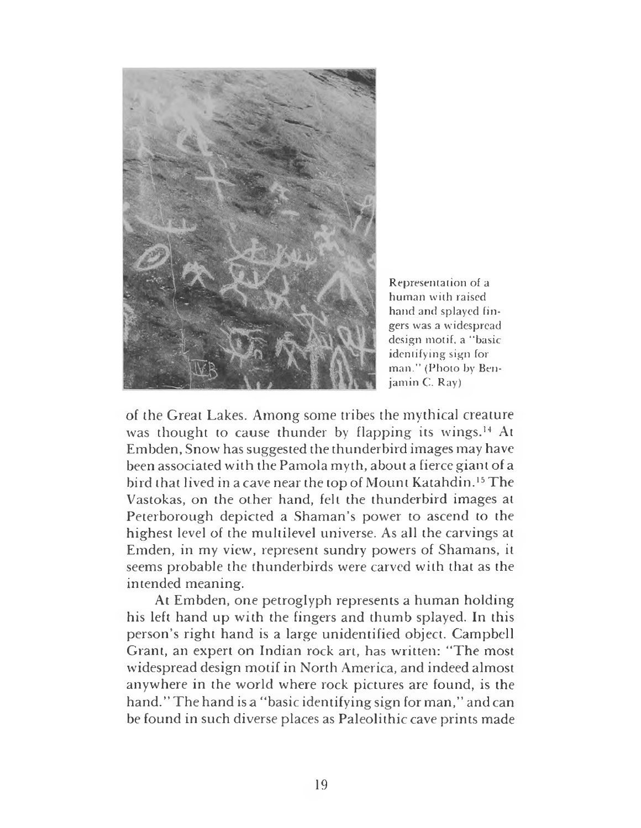

Representation of a human with raised hand and splayed fingers was a widespread design motif, a "basic identifying sign for man." (Photo by Benjamin C. Ray)

of the Great Lakes. Among some tribes the mythical creature was thought to cause thunder by flapping its wings.<sup>14</sup> At Embden, Snow has suggested the thunderbird images may have been associated with the Pamola myth, about a fierce giant of a bird that lived in a cave near the top of Mount Katahdin.<sup>15</sup> The Vastokas, on the other hand, felt the thunderbird images at Peterborough depicted a Shaman's power to ascend to the highest level of the multilevel universe. As all the carvings at Emden, in my view, represent sundry powers of Shamans, it seems probable the thunderbirds were carved with that as the intended meaning.

At Embden, one petroglyph represents a human holding his left hand up with the fingers and thumb splayed. In this person's right hand is a large unidentified object. Campbell Grant, an expert on Indian rock art, has written: "The most widespread design motif in North America, and indeed almost anywhere in the world where rock pictures are found, is the hand." The hand is a "basic identifying sign for man," and can be found in such diverse places as Paleolithic cave prints made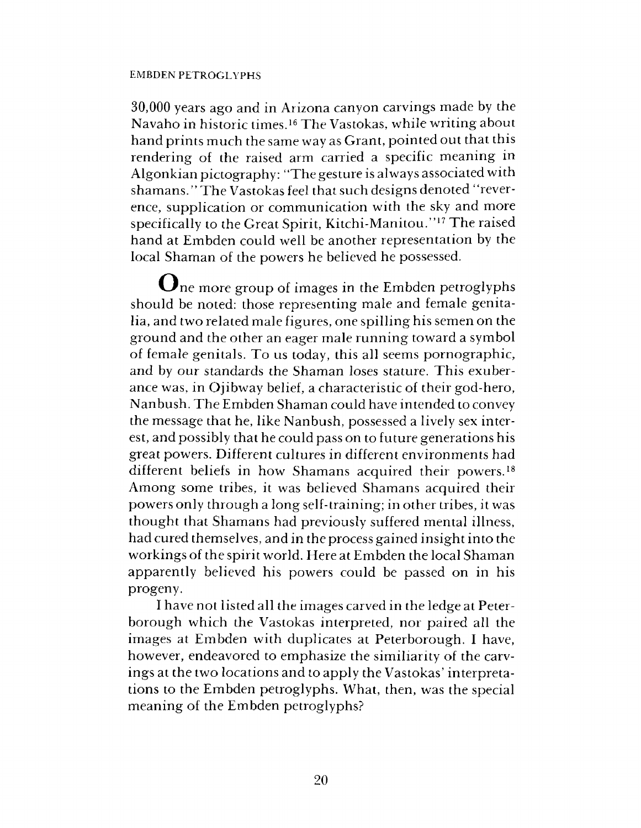### EMBDEN PETROGLYPHS

30,000 years ago and in Arizona canyon carvings made by the Navaho in historic times.<sup>16</sup> The Vastokas, while writing about hand prints much the same way as Grant, pointed out that this rendering of the raised arm carried a specific meaning in Algonkian pictography: "The gesture is always associated with shamans." The Vastokas feel that such designs denoted "reverence, supplication or communication with the sky and more specifically to the Great Spirit, Kitchi-Manitou."<sup>17</sup> The raised hand at Embden could well be another representation by the local Shaman of the powers he believed he possessed.

One more group of images in the Embden petroglyphs should be noted: those representing male and female genitalia, and two related male figures, one spilling his semen on the ground and the other an eager male running toward a symbol of female genitals. To us today, this all seems pornographic, and by our standards the Shaman loses stature. This exuberance was, in Ojibway belief, a characteristic of their god-hero, Nanbush. The Embden Shaman could have intended to convey the message that he, like Nanbush, possessed a lively sex interest, and possibly that he could pass on to future generations his great powers. Different cultures in different environments had different beliefs in how Shamans acquired their powers.<sup>18</sup> Among some tribes, it was believed Shamans acquired their powers only through a long self-training; in other tribes, it was thought that Shamans had previously suffered mental illness, had cured themselves, and in the process gained insight into the workings of the spirit world. Here at Embden the local Shaman apparently believed his powers could be passed on in his progeny.

I have not listed all the images carved in the ledge at Peterborough which the Vastokas interpreted, nor paired all the images at Embden with duplicates at Peterborough. I have, however, endeavored to emphasize the similiarity of the carvings at the two locations and to apply the Vastokas' interpretations to the Embden petroglyphs. What, then, was the special meaning of the Embden petroglyphs?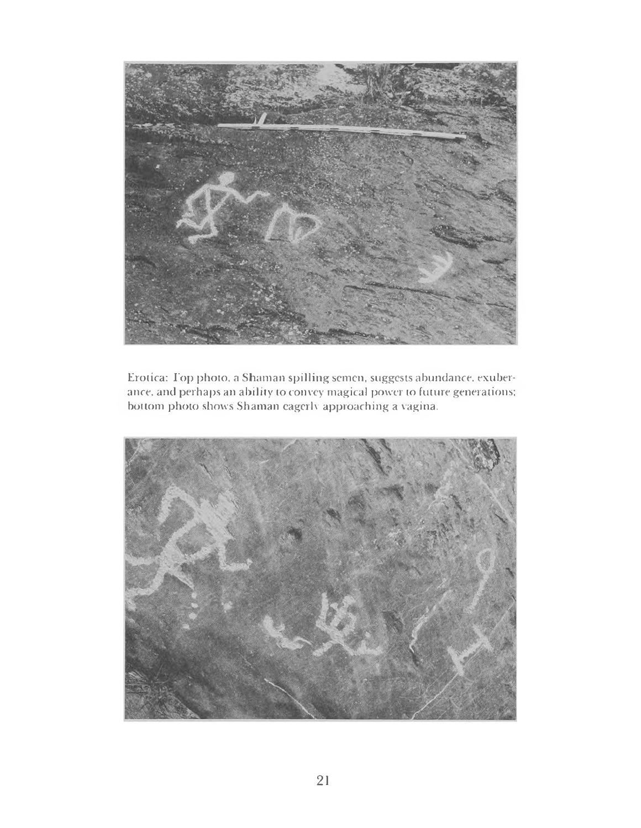

Erotica: I'op photo, a Shaman spilling semen, suggests abundance, exuberance. and perhaps an ability to convey magical power to future generations; bottom photo shows Shaman eagerly approaching a vagina.

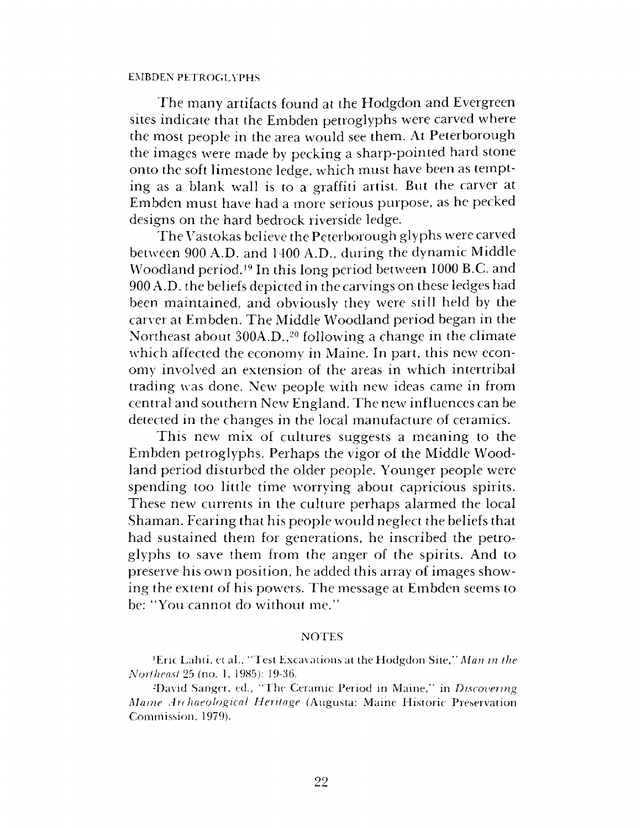#### EMBDEN PETROGLYPHS

The many artifacts found at the Hodgdon and Evergreen sites indicate that the Embden petroglyphs were carved where the most people in the area would see them. At Peterborough the images were made by pecking a sharp-pointed hard stone onto the soft limestone ledge, which must have been as tempting as a blank wall is to a graffiti artist. But the carver at Embden must have had a more serious purpose, as he pecked designs on the hard bedrock riverside ledge.

The Vastokas believe the Peterborough glyphs were carved between 900 A.D. and 1400 A.D., during the dynamic Middle Woodland period.<sup>19</sup> In this long period between 1000 B.C. and 900 A.D. the beliefs depicted in the carvings on these ledges had been maintained, and obviously they were still held by the carver at Embden. The Middle Woodland period began in the Northeast about 300A.D.,<sup>20</sup> following a change in the climate which affected the economy in Maine. In part, this new economy involved an extension of the areas in which intertribal trading was done. New people with new ideas came in from central and southern New England. The new influences can be detected in the changes in the local manufacture of ceramics.

This new mix of cultures suggests a meaning to the Embden petroglyphs. Perhaps the vigor of the Middle Woodland period disturbed the older people. Younger people were spending too little time worrying about capricious spirits. These new currents in the culture perhaps alarmed the local Shaman. Fearing that his people would neglect the beliefs that had sustained them for generations, he inscribed the petroglyphs to save them from the anger of the spirits. And to preserve his own position, he added this array of images showing the extent of his powers. The message at Embden seems to be: "You cannot do without me."

#### **NOTES**

<sup>1</sup>Eric Lahti, et al., "Test Excavations at the Hodgdon Site," *Man in the Northeast* 25 (no. 1, 1985): 19-36.

<sup>2</sup>David Sanger, ed., "The Ceramic Period in Maine," in *Discovering Maine Arr haeological Heritage* (Augusta: Maine Historic Preservation Commission, 1979).